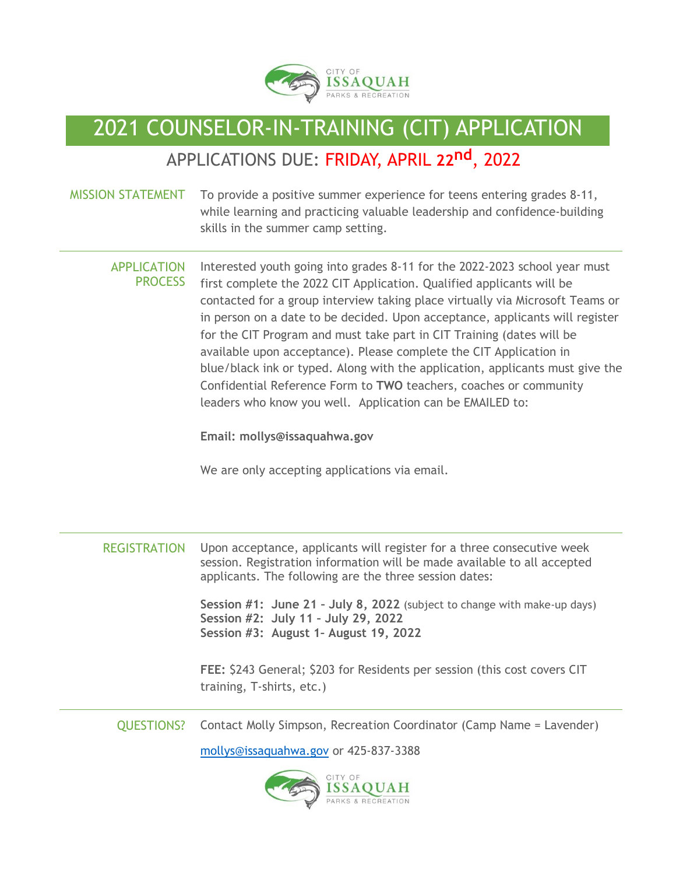

# 2021 COUNSELOR-IN-TRAINING (CIT) APPLICATION

### APPLICATIONS DUE: FRIDAY, APRIL **22nd**, 2022

#### MISSION STATEMENT To provide a positive summer experience for teens entering grades 8-11, while learning and practicing valuable leadership and confidence-building skills in the summer camp setting.

APPLICATION PROCESS Interested youth going into grades 8-11 for the 2022-2023 school year must first complete the 2022 CIT Application. Qualified applicants will be contacted for a group interview taking place virtually via Microsoft Teams or in person on a date to be decided. Upon acceptance, applicants will register for the CIT Program and must take part in CIT Training (dates will be available upon acceptance). Please complete the CIT Application in blue/black ink or typed. Along with the application, applicants must give the Confidential Reference Form to **TWO** teachers, coaches or community leaders who know you well. Application can be EMAILED to:

**Email: mollys@issaquahwa.gov** 

We are only accepting applications via email.

| <b>REGISTRATION</b> | Upon acceptance, applicants will register for a three consecutive week<br>session. Registration information will be made available to all accepted<br>applicants. The following are the three session dates: |
|---------------------|--------------------------------------------------------------------------------------------------------------------------------------------------------------------------------------------------------------|
|                     | Session #1: June 21 - July 8, 2022 (subject to change with make-up days)<br>Session #2: July 11 - July 29, 2022<br>Session #3: August 1- August 19, 2022                                                     |
|                     | FEE: \$243 General; \$203 for Residents per session (this cost covers CIT<br>training, T-shirts, etc.)                                                                                                       |
| <b>QUESTIONS?</b>   | Contact Molly Simpson, Recreation Coordinator (Camp Name = Lavender)                                                                                                                                         |
|                     | mollys@issaquahwa.gov or 425-837-3388                                                                                                                                                                        |
|                     |                                                                                                                                                                                                              |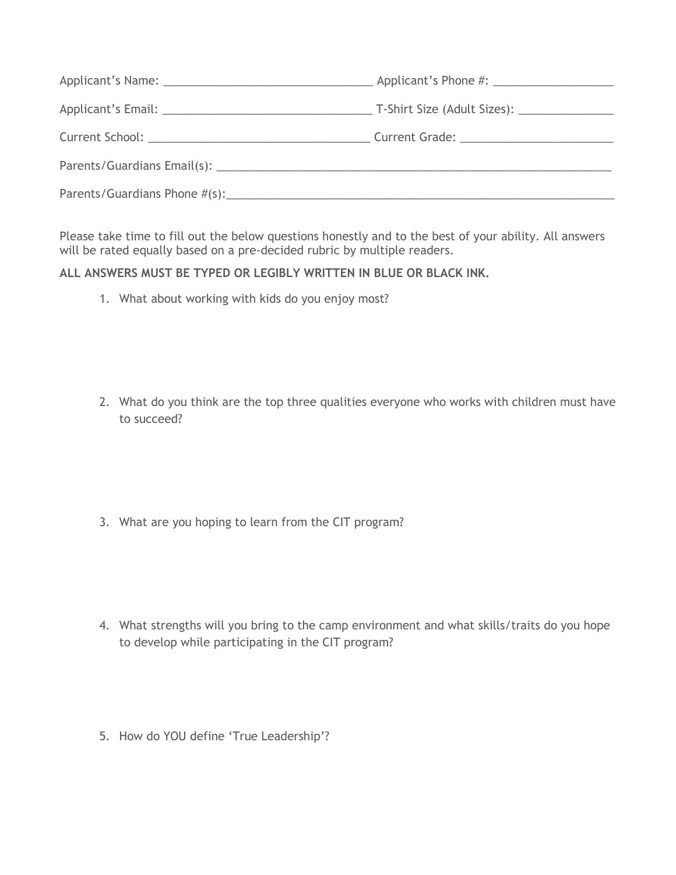Please take time to fill out the below questions honestly and to the best of your ability. All answers will be rated equally based on a pre-decided rubric by multiple readers.

**ALL ANSWERS MUST BE TYPED OR LEGIBLY WRITTEN IN BLUE OR BLACK INK.**

1. What about working with kids do you enjoy most?

2. What do you think are the top three qualities everyone who works with children must have to succeed?

3. What are you hoping to learn from the CIT program?

- 4. What strengths will you bring to the camp environment and what skills/traits do you hope to develop while participating in the CIT program?
- 5. How do YOU define 'True Leadership'?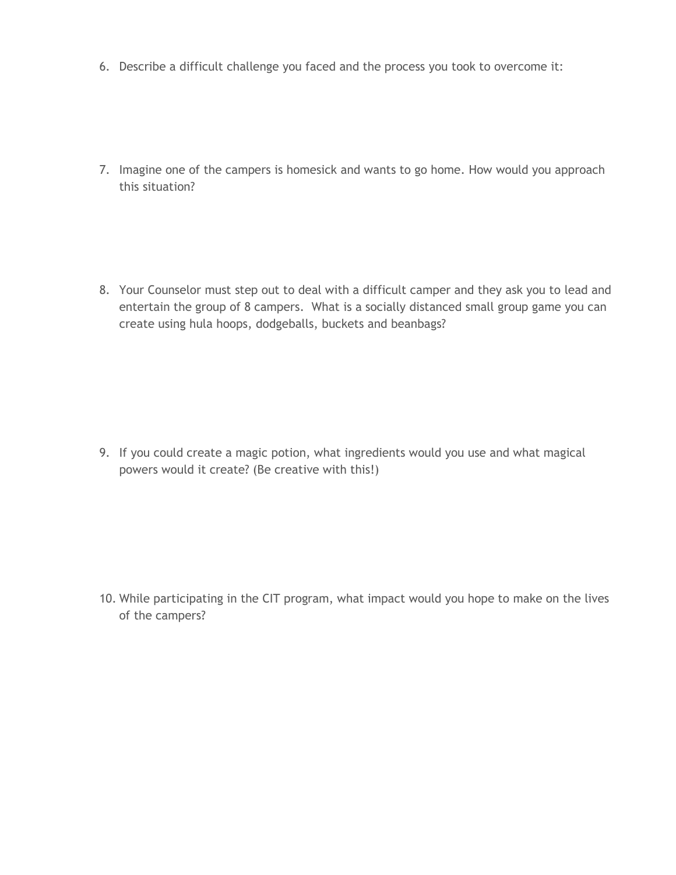6. Describe a difficult challenge you faced and the process you took to overcome it:

7. Imagine one of the campers is homesick and wants to go home. How would you approach this situation?

8. Your Counselor must step out to deal with a difficult camper and they ask you to lead and entertain the group of 8 campers. What is a socially distanced small group game you can create using hula hoops, dodgeballs, buckets and beanbags?

9. If you could create a magic potion, what ingredients would you use and what magical powers would it create? (Be creative with this!)

10. While participating in the CIT program, what impact would you hope to make on the lives of the campers?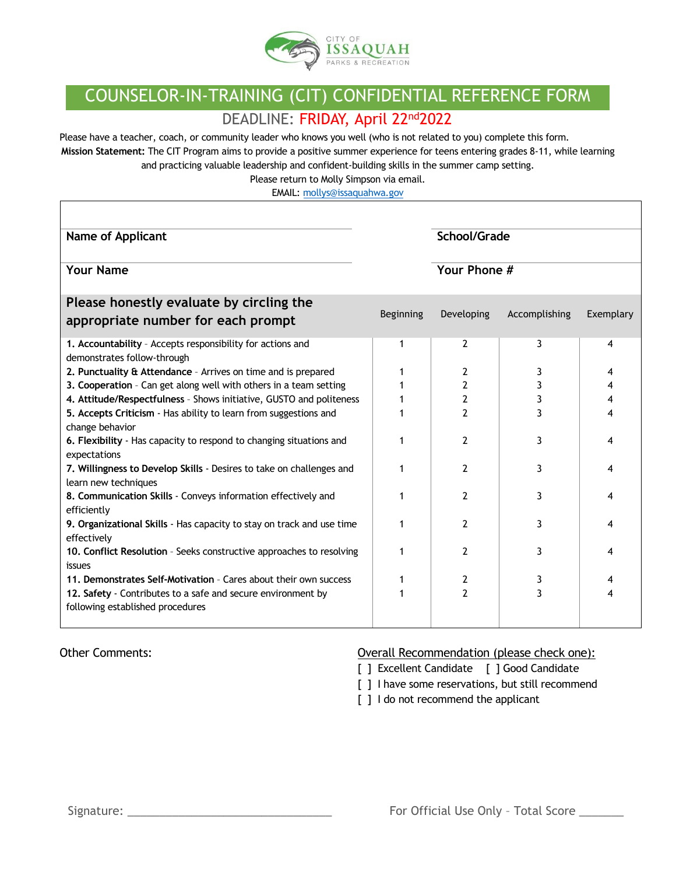

## COUNSELOR-IN-TRAINING (CIT) CONFIDENTIAL REFERENCE FORM

#### DEADLINE: FRIDAY, April 22nd2022

Please have a teacher, coach, or community leader who knows you well (who is not related to you) complete this form. **Mission Statement:** The CIT Program aims to provide a positive summer experience for teens entering grades 8-11, while learning

and practicing valuable leadership and confident-building skills in the summer camp setting.

Please return to Molly Simpson via email.

EMAIL[: mollys@issaquahwa.gov](mailto:mollys@issaquahwa.gov)

| Name of Applicant                                                                            |           | School/Grade   |               |           |
|----------------------------------------------------------------------------------------------|-----------|----------------|---------------|-----------|
| <b>Your Name</b>                                                                             |           | Your Phone #   |               |           |
| Please honestly evaluate by circling the                                                     |           |                |               |           |
| appropriate number for each prompt                                                           | Beginning | Developing     | Accomplishing | Exemplary |
| 1. Accountability - Accepts responsibility for actions and<br>demonstrates follow-through    |           | 2              | 3             | 4         |
| 2. Punctuality & Attendance - Arrives on time and is prepared                                |           | 2              | 3             | 4         |
| 3. Cooperation - Can get along well with others in a team setting                            |           | 2              | 3             | 4         |
| 4. Attitude/Respectfulness - Shows initiative, GUSTO and politeness                          |           | 2              | 3             | 4         |
| 5. Accepts Criticism - Has ability to learn from suggestions and<br>change behavior          |           | 2              | 3             | 4         |
| 6. Flexibility - Has capacity to respond to changing situations and<br>expectations          |           | 2              | 3             | 4         |
| 7. Willingness to Develop Skills - Desires to take on challenges and<br>learn new techniques |           | 2              | 3             | 4         |
| 8. Communication Skills - Conveys information effectively and<br>efficiently                 |           | $\overline{2}$ | 3             | 4         |
| 9. Organizational Skills - Has capacity to stay on track and use time<br>effectively         |           | $\mathcal{P}$  | 3             | 4         |
| 10. Conflict Resolution - Seeks constructive approaches to resolving<br>issues               |           | 2              | 3             | 4         |
| 11. Demonstrates Self-Motivation - Cares about their own success                             |           | 2              | 3             |           |
| 12. Safety - Contributes to a safe and secure environment by                                 |           | 2              | 3             | 4         |
| following established procedures                                                             |           |                |               |           |

Г

#### Other Comments: Overall Recommendation (please check one):

- [ ] Excellent Candidate [ ] Good Candidate
- [ ] I have some reservations, but still recommend
- [ ] I do not recommend the applicant